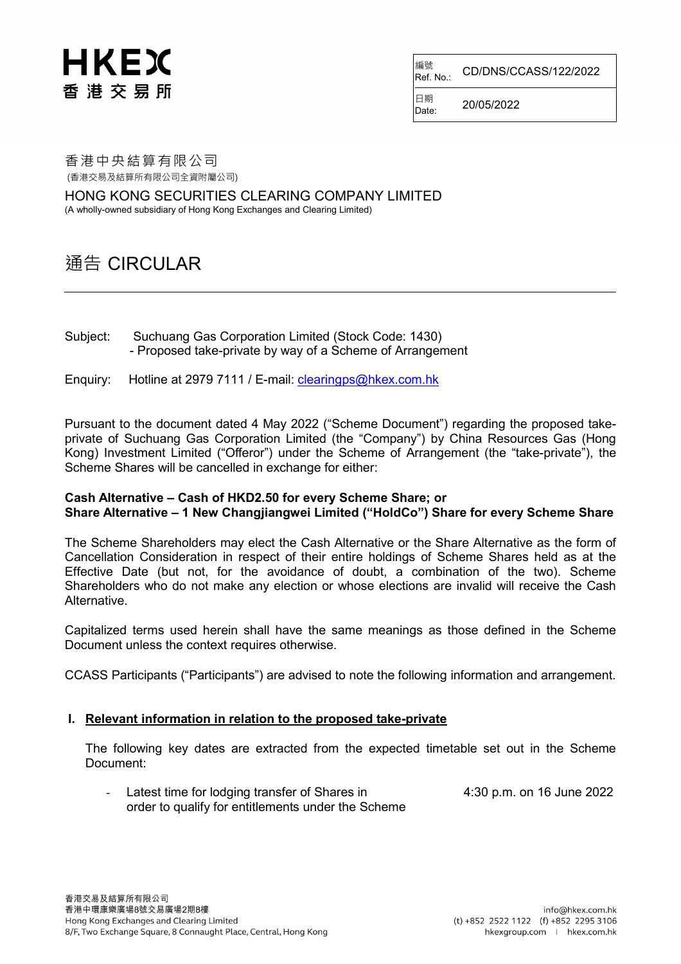## HKEX 香港交易所

編號<br>Ref. No.: Ref. No.: CD/DNS/CCASS/122/2022

 $D_{\text{late}}$  20/05/2022

日期

香港中央結算有限公司 (香港交易及結算所有限公司全資附屬公司)

HONG KONG SECURITIES CLEARING COMPANY LIMITED

(A wholly-owned subsidiary of Hong Kong Exchanges and Clearing Limited)

### 通告 CIRCULAR

Subject: Suchuang Gas Corporation Limited (Stock Code: 1430) - Proposed take-private by way of a Scheme of Arrangement

Enquiry: Hotline at 2979 7111 / E-mail: [clearingps@hkex.com.hk](mailto:clearingps@hkex.com.hk)

Pursuant to the document dated 4 May 2022 ("Scheme Document") regarding the proposed takeprivate of Suchuang Gas Corporation Limited (the "Company") by China Resources Gas (Hong Kong) Investment Limited ("Offeror") under the Scheme of Arrangement (the "take-private"), the Scheme Shares will be cancelled in exchange for either:

### **Cash Alternative – Cash of HKD2.50 for every Scheme Share; or Share Alternative – 1 New Changjiangwei Limited ("HoldCo") Share for every Scheme Share**

The Scheme Shareholders may elect the Cash Alternative or the Share Alternative as the form of Cancellation Consideration in respect of their entire holdings of Scheme Shares held as at the Effective Date (but not, for the avoidance of doubt, a combination of the two). Scheme Shareholders who do not make any election or whose elections are invalid will receive the Cash Alternative.

Capitalized terms used herein shall have the same meanings as those defined in the Scheme Document unless the context requires otherwise.

CCASS Participants ("Participants") are advised to note the following information and arrangement.

### **I. Relevant information in relation to the proposed take-private**

The following key dates are extracted from the expected timetable set out in the Scheme Document:

- Latest time for lodging transfer of Shares in 4:30 p.m. on 16 June 2022 order to qualify for entitlements under the Scheme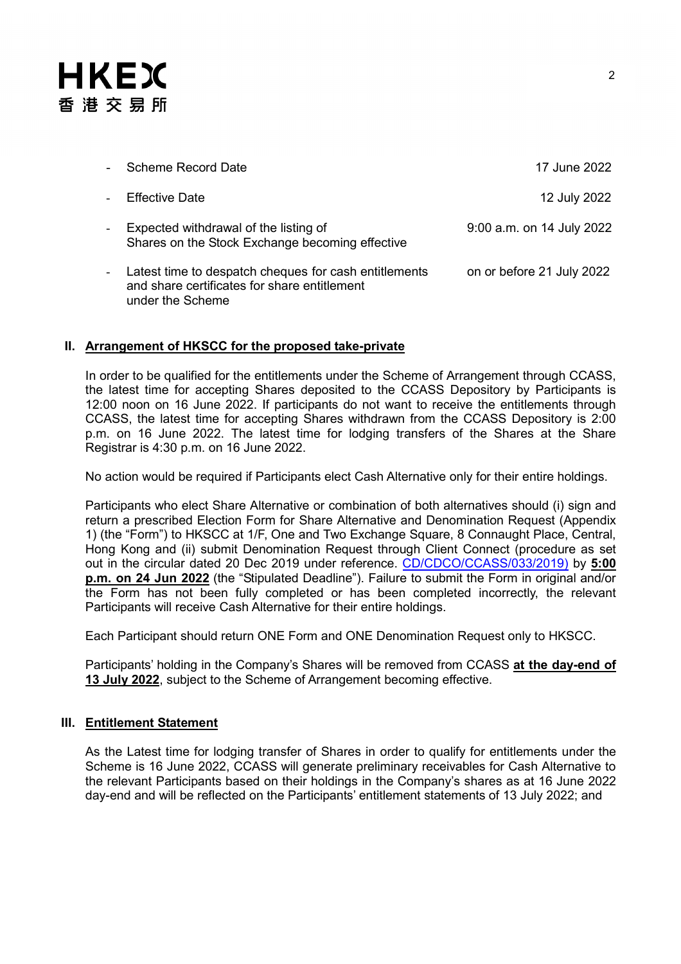# **HKEX** 香港交易所

|                          | Scheme Record Date                                                                                                        | 17 June 2022              |
|--------------------------|---------------------------------------------------------------------------------------------------------------------------|---------------------------|
|                          | <b>Effective Date</b>                                                                                                     | 12 July 2022              |
|                          | Expected withdrawal of the listing of<br>Shares on the Stock Exchange becoming effective                                  | 9:00 a.m. on 14 July 2022 |
| $\overline{\phantom{a}}$ | Latest time to despatch cheques for cash entitlements<br>and share certificates for share entitlement<br>under the Scheme | on or before 21 July 2022 |

### **II. Arrangement of HKSCC for the proposed take-private**

In order to be qualified for the entitlements under the Scheme of Arrangement through CCASS, the latest time for accepting Shares deposited to the CCASS Depository by Participants is 12:00 noon on 16 June 2022. If participants do not want to receive the entitlements through CCASS, the latest time for accepting Shares withdrawn from the CCASS Depository is 2:00 p.m. on 16 June 2022. The latest time for lodging transfers of the Shares at the Share Registrar is 4:30 p.m. on 16 June 2022.

No action would be required if Participants elect Cash Alternative only for their entire holdings.

Participants who elect Share Alternative or combination of both alternatives should (i) sign and return a prescribed Election Form for Share Alternative and Denomination Request (Appendix 1) (the "Form") to HKSCC at 1/F, One and Two Exchange Square, 8 Connaught Place, Central, Hong Kong and (ii) submit Denomination Request through Client Connect (procedure as set out in the circular dated 20 Dec 2019 under reference. [CD/CDCO/CCASS/033/2019\)](https://www.hkex.com.hk/-/media/HKEX-Market/Services/Circulars-and-Notices/Participant-and-Members-Circulars/HKSCC/2019/ce_HKSCC_SET1_033_2019.pdf) by **5:00 p.m. on 24 Jun 2022** (the "Stipulated Deadline"). Failure to submit the Form in original and/or the Form has not been fully completed or has been completed incorrectly, the relevant Participants will receive Cash Alternative for their entire holdings.

Each Participant should return ONE Form and ONE Denomination Request only to HKSCC.

Participants' holding in the Company's Shares will be removed from CCASS **at the day-end of 13 July 2022**, subject to the Scheme of Arrangement becoming effective.

### **III. Entitlement Statement**

As the Latest time for lodging transfer of Shares in order to qualify for entitlements under the Scheme is 16 June 2022, CCASS will generate preliminary receivables for Cash Alternative to the relevant Participants based on their holdings in the Company's shares as at 16 June 2022 day-end and will be reflected on the Participants' entitlement statements of 13 July 2022; and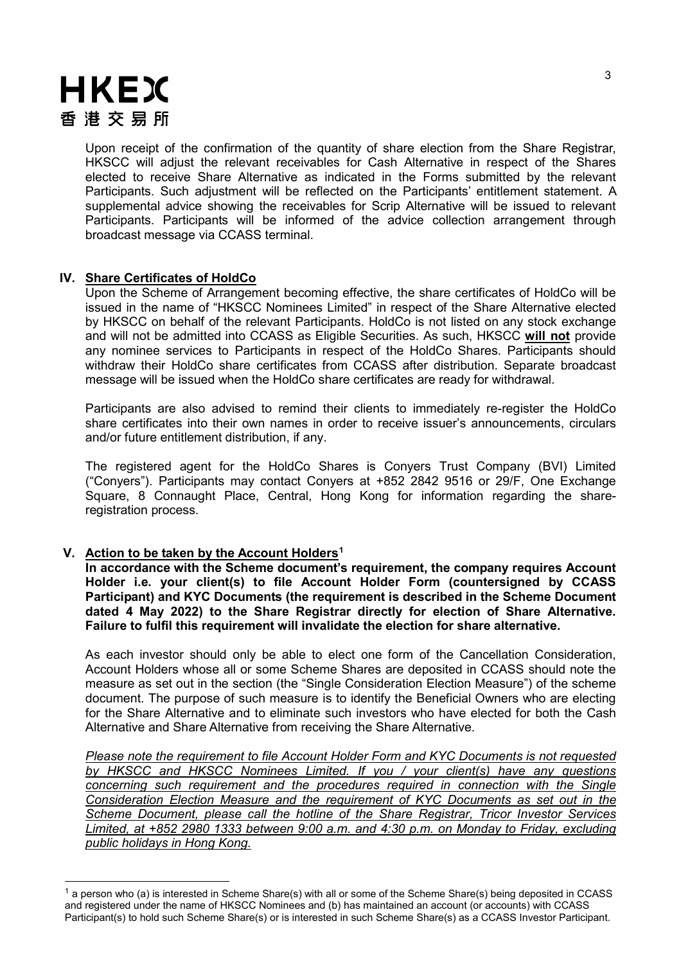# **HKEX** 香港交易所

Upon receipt of the confirmation of the quantity of share election from the Share Registrar, HKSCC will adjust the relevant receivables for Cash Alternative in respect of the Shares elected to receive Share Alternative as indicated in the Forms submitted by the relevant Participants. Such adjustment will be reflected on the Participants' entitlement statement. A supplemental advice showing the receivables for Scrip Alternative will be issued to relevant Participants. Participants will be informed of the advice collection arrangement through broadcast message via CCASS terminal.

### **IV. Share Certificates of HoldCo**

Upon the Scheme of Arrangement becoming effective, the share certificates of HoldCo will be issued in the name of "HKSCC Nominees Limited" in respect of the Share Alternative elected by HKSCC on behalf of the relevant Participants. HoldCo is not listed on any stock exchange and will not be admitted into CCASS as Eligible Securities. As such, HKSCC **will not** provide any nominee services to Participants in respect of the HoldCo Shares. Participants should withdraw their HoldCo share certificates from CCASS after distribution. Separate broadcast message will be issued when the HoldCo share certificates are ready for withdrawal.

Participants are also advised to remind their clients to immediately re-register the HoldCo share certificates into their own names in order to receive issuer's announcements, circulars and/or future entitlement distribution, if any.

The registered agent for the HoldCo Shares is Conyers Trust Company (BVI) Limited ("Conyers"). Participants may contact Conyers at +852 2842 9516 or 29/F, One Exchange Square, 8 Connaught Place, Central, Hong Kong for information regarding the shareregistration process.

### **V. Action to be taken by the Account Holders[1](#page-2-0)**

**In accordance with the Scheme document's requirement, the company requires Account Holder i.e. your client(s) to file Account Holder Form (countersigned by CCASS Participant) and KYC Documents (the requirement is described in the Scheme Document dated 4 May 2022) to the Share Registrar directly for election of Share Alternative. Failure to fulfil this requirement will invalidate the election for share alternative.**

As each investor should only be able to elect one form of the Cancellation Consideration, Account Holders whose all or some Scheme Shares are deposited in CCASS should note the measure as set out in the section (the "Single Consideration Election Measure") of the scheme document. The purpose of such measure is to identify the Beneficial Owners who are electing for the Share Alternative and to eliminate such investors who have elected for both the Cash Alternative and Share Alternative from receiving the Share Alternative.

*Please note the requirement to file Account Holder Form and KYC Documents is not requested by HKSCC and HKSCC Nominees Limited. If you / your client(s) have any questions concerning such requirement and the procedures required in connection with the Single Consideration Election Measure and the requirement of KYC Documents as set out in the Scheme Document, please call the hotline of the Share Registrar, Tricor Investor Services Limited, at +852 2980 1333 between 9:00 a.m. and 4:30 p.m. on Monday to Friday, excluding public holidays in Hong Kong.*

<span id="page-2-0"></span> $1$  a person who (a) is interested in Scheme Share(s) with all or some of the Scheme Share(s) being deposited in CCASS and registered under the name of HKSCC Nominees and (b) has maintained an account (or accounts) with CCASS Participant(s) to hold such Scheme Share(s) or is interested in such Scheme Share(s) as a CCASS Investor Participant.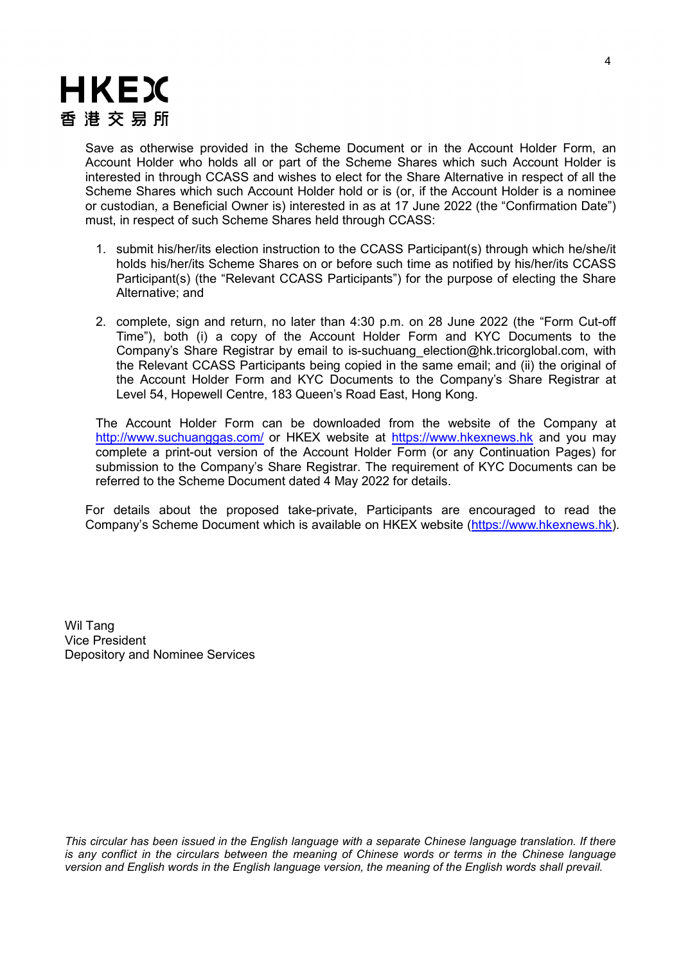

Save as otherwise provided in the Scheme Document or in the Account Holder Form, an Account Holder who holds all or part of the Scheme Shares which such Account Holder is interested in through CCASS and wishes to elect for the Share Alternative in respect of all the Scheme Shares which such Account Holder hold or is (or, if the Account Holder is a nominee or custodian, a Beneficial Owner is) interested in as at 17 June 2022 (the "Confirmation Date") must, in respect of such Scheme Shares held through CCASS:

- 1. submit his/her/its election instruction to the CCASS Participant(s) through which he/she/it holds his/her/its Scheme Shares on or before such time as notified by his/her/its CCASS Participant(s) (the "Relevant CCASS Participants") for the purpose of electing the Share Alternative; and
- 2. complete, sign and return, no later than 4:30 p.m. on 28 June 2022 (the "Form Cut-off Time"), both (i) a copy of the Account Holder Form and KYC Documents to the Company's Share Registrar by email to is-suchuang\_election@hk.tricorglobal.com, with the Relevant CCASS Participants being copied in the same email; and (ii) the original of the Account Holder Form and KYC Documents to the Company's Share Registrar at Level 54, Hopewell Centre, 183 Queen's Road East, Hong Kong.

The Account Holder Form can be downloaded from the website of the Company at <http://www.suchuanggas.com/> or HKEX website at [https://www.hkexnews.hk](https://www.hkexnews.hk/) and you may complete a print-out version of the Account Holder Form (or any Continuation Pages) for submission to the Company's Share Registrar. The requirement of KYC Documents can be referred to the Scheme Document dated 4 May 2022 for details.

For details about the proposed take-private, Participants are encouraged to read the Company's Scheme Document which is available on HKEX website [\(https://www.hkexnews.hk\)](https://www.hkexnews.hk/).

Wil Tang Vice President Depository and Nominee Services

*This circular has been issued in the English language with a separate Chinese language translation. If there is any conflict in the circulars between the meaning of Chinese words or terms in the Chinese language version and English words in the English language version, the meaning of the English words shall prevail.*